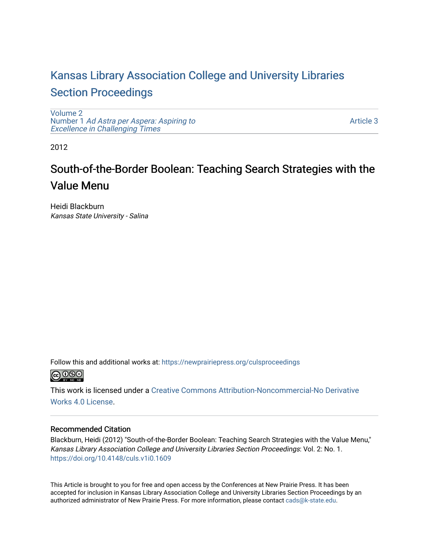# [Kansas Library Association College and University Libraries](https://newprairiepress.org/culsproceedings)  [Section Proceedings](https://newprairiepress.org/culsproceedings)

[Volume 2](https://newprairiepress.org/culsproceedings/vol2) Number 1 [Ad Astra per Aspera: Aspiring to](https://newprairiepress.org/culsproceedings/vol2/iss1)  Excellence in Challenging Times

[Article 3](https://newprairiepress.org/culsproceedings/vol2/iss1/3) 

2012

# South-of-the-Border Boolean: Teaching Search Strategies with the Value Menu

Heidi Blackburn Kansas State University - Salina

Follow this and additional works at: [https://newprairiepress.org/culsproceedings](https://newprairiepress.org/culsproceedings?utm_source=newprairiepress.org%2Fculsproceedings%2Fvol2%2Fiss1%2F3&utm_medium=PDF&utm_campaign=PDFCoverPages)



This work is licensed under a [Creative Commons Attribution-Noncommercial-No Derivative](https://creativecommons.org/licenses/by-nc-nd/4.0/)  [Works 4.0 License](https://creativecommons.org/licenses/by-nc-nd/4.0/).

## Recommended Citation

Blackburn, Heidi (2012) "South-of-the-Border Boolean: Teaching Search Strategies with the Value Menu," Kansas Library Association College and University Libraries Section Proceedings: Vol. 2: No. 1. <https://doi.org/10.4148/culs.v1i0.1609>

This Article is brought to you for free and open access by the Conferences at New Prairie Press. It has been accepted for inclusion in Kansas Library Association College and University Libraries Section Proceedings by an authorized administrator of New Prairie Press. For more information, please contact [cads@k-state.edu.](mailto:cads@k-state.edu)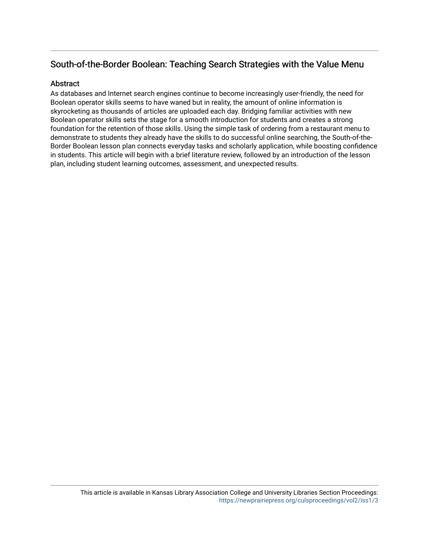# South-of-the-Border Boolean: Teaching Search Strategies with the Value Menu

## **Abstract**

As databases and Internet search engines continue to become increasingly user-friendly, the need for Boolean operator skills seems to have waned but in reality, the amount of online information is skyrocketing as thousands of articles are uploaded each day. Bridging familiar activities with new Boolean operator skills sets the stage for a smooth introduction for students and creates a strong foundation for the retention of those skills. Using the simple task of ordering from a restaurant menu to demonstrate to students they already have the skills to do successful online searching, the South-of-the-Border Boolean lesson plan connects everyday tasks and scholarly application, while boosting confidence in students. This article will begin with a brief literature review, followed by an introduction of the lesson plan, including student learning outcomes, assessment, and unexpected results.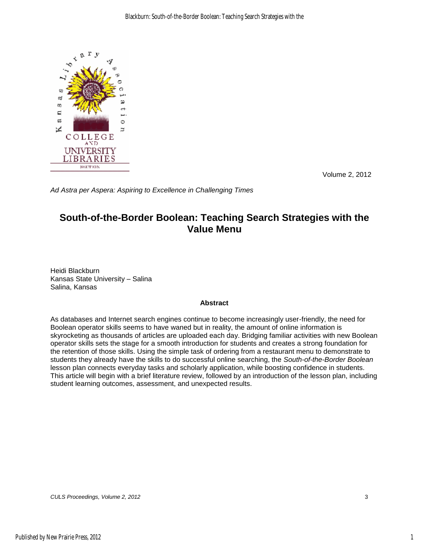

Volume 2, 2012

*Ad Astra per Aspera: Aspiring to Excellence in Challenging Times*

# **South-of-the-Border Boolean: Teaching Search Strategies with the Value Menu**

Heidi Blackburn Kansas State University – Salina Salina, Kansas

## **Abstract**

As databases and Internet search engines continue to become increasingly user-friendly, the need for Boolean operator skills seems to have waned but in reality, the amount of online information is skyrocketing as thousands of articles are uploaded each day. Bridging familiar activities with new Boolean operator skills sets the stage for a smooth introduction for students and creates a strong foundation for the retention of those skills. Using the simple task of ordering from a restaurant menu to demonstrate to students they already have the skills to do successful online searching, the *South-of-the-Border Boolean* lesson plan connects everyday tasks and scholarly application, while boosting confidence in students. This article will begin with a brief literature review, followed by an introduction of the lesson plan, including student learning outcomes, assessment, and unexpected results.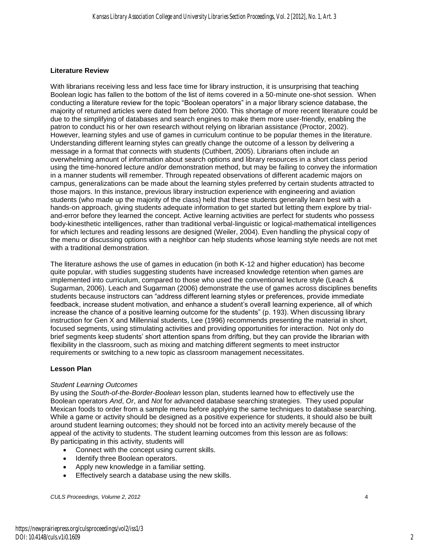#### **Literature Review**

With librarians receiving less and less face time for library instruction, it is unsurprising that teaching Boolean logic has fallen to the bottom of the list of items covered in a 50-minute one-shot session. When conducting a literature review for the topic "Boolean operators" in a major library science database, the majority of returned articles were dated from before 2000. This shortage of more recent literature could be due to the simplifying of databases and search engines to make them more user-friendly, enabling the patron to conduct his or her own research without relying on librarian assistance (Proctor, 2002). However, learning styles and use of games in curriculum continue to be popular themes in the literature. Understanding different learning styles can greatly change the outcome of a lesson by delivering a message in a format that connects with students (Cuthbert, 2005). Librarians often include an overwhelming amount of information about search options and library resources in a short class period using the time-honored lecture and/or demonstration method, but may be failing to convey the information in a manner students will remember. Through repeated observations of different academic majors on campus, generalizations can be made about the learning styles preferred by certain students attracted to those majors. In this instance, previous library instruction experience with engineering and aviation students (who made up the majority of the class) held that these students generally learn best with a hands-on approach, giving students adequate information to get started but letting them explore by trialand-error before they learned the concept. Active learning activities are perfect for students who possess body-kinesthetic intelligences, rather than traditional verbal-linguistic or logical-mathematical intelligences for which lectures and reading lessons are designed (Weiler, 2004). Even handling the physical copy of the menu or discussing options with a neighbor can help students whose learning style needs are not met with a traditional demonstration.

The literature ashows the use of games in education (in both K-12 and higher education) has become quite popular, with studies suggesting students have increased knowledge retention when games are implemented into curriculum, compared to those who used the conventional lecture style (Leach & Sugarman, 2006). Leach and Sugarman (2006) demonstrate the use of games across disciplines benefits students because instructors can "address different learning styles or preferences, provide immediate feedback, increase student motivation, and enhance a student's overall learning experience, all of which increase the chance of a positive learning outcome for the students" (p. 193). When discussing library instruction for Gen X and Millennial students, Lee (1996) recommends presenting the material in short, focused segments, using stimulating activities and providing opportunities for interaction. Not only do brief segments keep students' short attention spans from drifting, but they can provide the librarian with flexibility in the classroom, such as mixing and matching different segments to meet instructor requirements or switching to a new topic as classroom management necessitates.

## **Lesson Plan**

## *Student Learning Outcomes*

By using the *South-of-the-Border-Boolean* lesson plan, students learned how to effectively use the Boolean operators *And*, *Or*, and *Not* for advanced database searching strategies. They used popular Mexican foods to order from a sample menu before applying the same techniques to database searching. While a game or activity should be designed as a positive experience for students, it should also be built around student learning outcomes; they should not be forced into an activity merely because of the appeal of the activity to students. The student learning outcomes from this lesson are as follows: By participating in this activity, students will

- Connect with the concept using current skills.
- Identify three Boolean operators.
- Apply new knowledge in a familiar setting.
- Effectively search a database using the new skills.

*CULS Proceedings, Volume 2, 2012* 4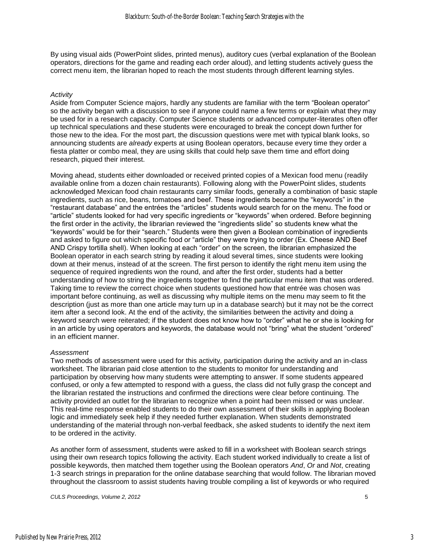By using visual aids (PowerPoint slides, printed menus), auditory cues (verbal explanation of the Boolean operators, directions for the game and reading each order aloud), and letting students actively guess the correct menu item, the librarian hoped to reach the most students through different learning styles.

#### *Activity*

Aside from Computer Science majors, hardly any students are familiar with the term "Boolean operator" so the activity began with a discussion to see if anyone could name a few terms or explain what they may be used for in a research capacity. Computer Science students or advanced computer-literates often offer up technical speculations and these students were encouraged to break the concept down further for those new to the idea. For the most part, the discussion questions were met with typical blank looks, so announcing students are *already* experts at using Boolean operators, because every time they order a fiesta platter or combo meal, they are using skills that could help save them time and effort doing research, piqued their interest.

Moving ahead, students either downloaded or received printed copies of a Mexican food menu (readily available online from a dozen chain restaurants). Following along with the PowerPoint slides, students acknowledged Mexican food chain restaurants carry similar foods, generally a combination of basic staple ingredients, such as rice, beans, tomatoes and beef. These ingredients became the "keywords" in the "restaurant database" and the entrées the "articles" students would search for on the menu. The food or "article" students looked for had very specific ingredients or "keywords" when ordered. Before beginning the first order in the activity, the librarian reviewed the "ingredients slide" so students knew what the "keywords" would be for their "search." Students were then given a Boolean combination of ingredients and asked to figure out which specific food or "article" they were trying to order (Ex. Cheese AND Beef AND Crispy tortilla shell). When looking at each "order" on the screen, the librarian emphasized the Boolean operator in each search string by reading it aloud several times, since students were looking down at their menus, instead of at the screen. The first person to identify the right menu item using the sequence of required ingredients won the round, and after the first order, students had a better understanding of how to string the ingredients together to find the particular menu item that was ordered. Taking time to review the correct choice when students questioned how that entrée was chosen was important before continuing, as well as discussing why multiple items on the menu may seem to fit the description (just as more than one article may turn up in a database search) but it may not be the correct item after a second look. At the end of the activity, the similarities between the activity and doing a keyword search were reiterated; if the student does not know how to "order" what he or she is looking for in an article by using operators and keywords, the database would not "bring" what the student "ordered" in an efficient manner.

#### *Assessment*

Two methods of assessment were used for this activity, participation during the activity and an in-class worksheet. The librarian paid close attention to the students to monitor for understanding and participation by observing how many students were attempting to answer. If some students appeared confused, or only a few attempted to respond with a guess, the class did not fully grasp the concept and the librarian restated the instructions and confirmed the directions were clear before continuing. The activity provided an outlet for the librarian to recognize when a point had been missed or was unclear. This real-time response enabled students to do their own assessment of their skills in applying Boolean logic and immediately seek help if they needed further explanation. When students demonstrated understanding of the material through non-verbal feedback, she asked students to identify the next item to be ordered in the activity.

As another form of assessment, students were asked to fill in a worksheet with Boolean search strings using their own research topics following the activity. Each student worked individually to create a list of possible keywords, then matched them together using the Boolean operators *And*, *Or* and *Not*, creating 1-3 search strings in preparation for the online database searching that would follow. The librarian moved throughout the classroom to assist students having trouble compiling a list of keywords or who required

*CULS Proceedings, Volume 2, 2012* 5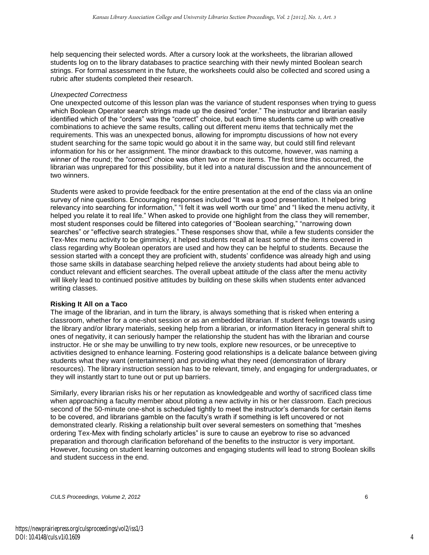help sequencing their selected words. After a cursory look at the worksheets, the librarian allowed students log on to the library databases to practice searching with their newly minted Boolean search strings. For formal assessment in the future, the worksheets could also be collected and scored using a rubric after students completed their research.

#### *Unexpected Correctness*

One unexpected outcome of this lesson plan was the variance of student responses when trying to guess which Boolean Operator search strings made up the desired "order." The instructor and librarian easily identified which of the "orders" was the "correct" choice, but each time students came up with creative combinations to achieve the same results, calling out different menu items that technically met the requirements. This was an unexpected bonus, allowing for impromptu discussions of how not every student searching for the same topic would go about it in the same way, but could still find relevant information for his or her assignment. The minor drawback to this outcome, however, was naming a winner of the round; the "correct" choice was often two or more items. The first time this occurred, the librarian was unprepared for this possibility, but it led into a natural discussion and the announcement of two winners

Students were asked to provide feedback for the entire presentation at the end of the class via an online survey of nine questions. Encouraging responses included "It was a good presentation. It helped bring relevancy into searching for information," "I felt it was well worth our time" and "I liked the menu activity, it helped you relate it to real life." When asked to provide one highlight from the class they will remember, most student responses could be filtered into categories of "Boolean searching," "narrowing down searches" or "effective search strategies." These responses show that, while a few students consider the Tex-Mex menu activity to be gimmicky, it helped students recall at least some of the items covered in class regarding why Boolean operators are used and how they can be helpful to students. Because the session started with a concept they are proficient with, students' confidence was already high and using those same skills in database searching helped relieve the anxiety students had about being able to conduct relevant and efficient searches. The overall upbeat attitude of the class after the menu activity will likely lead to continued positive attitudes by building on these skills when students enter advanced writing classes.

#### **Risking It All on a Taco**

The image of the librarian, and in turn the library, is always something that is risked when entering a classroom, whether for a one-shot session or as an embedded librarian. If student feelings towards using the library and/or library materials, seeking help from a librarian, or information literacy in general shift to ones of negativity, it can seriously hamper the relationship the student has with the librarian and course instructor. He or she may be unwilling to try new tools, explore new resources, or be unreceptive to activities designed to enhance learning. Fostering good relationships is a delicate balance between giving students what they want (entertainment) and providing what they need (demonstration of library resources). The library instruction session has to be relevant, timely, and engaging for undergraduates, or they will instantly start to tune out or put up barriers.

Similarly, every librarian risks his or her reputation as knowledgeable and worthy of sacrificed class time when approaching a faculty member about piloting a new activity in his or her classroom. Each precious second of the 50-minute one-shot is scheduled tightly to meet the instructor's demands for certain items to be covered, and librarians gamble on the faculty's wrath if something is left uncovered or not demonstrated clearly. Risking a relationship built over several semesters on something that "meshes ordering Tex-Mex with finding scholarly articles" is sure to cause an eyebrow to rise so advanced preparation and thorough clarification beforehand of the benefits to the instructor is very important. However, focusing on student learning outcomes and engaging students will lead to strong Boolean skills and student success in the end.